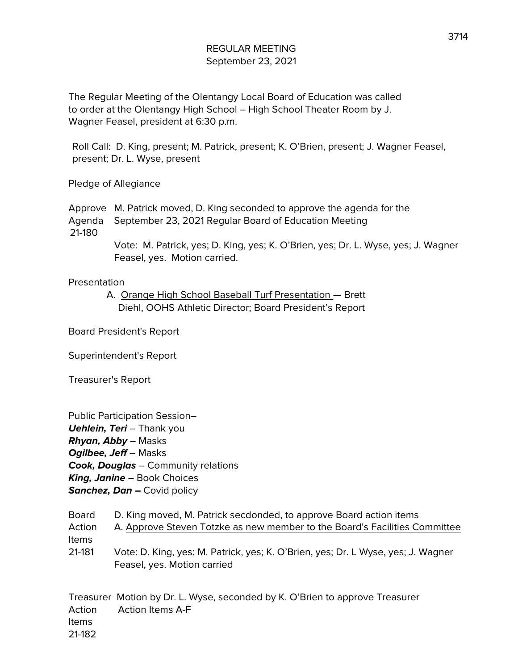The Regular Meeting of the Olentangy Local Board of Education was called to order at the Olentangy High School – High School Theater Room by J. Wagner Feasel, president at 6:30 p.m.

Roll Call: D. King, present; M. Patrick, present; K. O'Brien, present; J. Wagner Feasel, present; Dr. L. Wyse, present

Pledge of Allegiance

Approve M. Patrick moved, D. King seconded to approve the agenda for the Agenda September 23, 2021 Regular Board of Education Meeting

21-180

Vote: M. Patrick, yes; D. King, yes; K. O'Brien, yes; Dr. L. Wyse, yes; J. Wagner Feasel, yes. Motion carried.

## Presentation

A. Orange High School Baseball Turf Presentation — Brett Diehl, OOHS Athletic Director; Board President's Report

Board President's Report

Superintendent's Report

Treasurer's Report

| Public Participation Session-              |
|--------------------------------------------|
| <b>Uehlein, Teri</b> - Thank you           |
| <b>Rhyan, Abby</b> – Masks                 |
| <b>Ogilbee, Jeff</b> – Masks               |
| <b>Cook, Douglas</b> – Community relations |
| <b>King, Janine –</b> Book Choices         |
| <b>Sanchez, Dan –</b> Covid policy         |

| <b>Board</b> | D. King moved, M. Patrick secdonded, to approve Board action items                                              |
|--------------|-----------------------------------------------------------------------------------------------------------------|
| Action       | A. Approve Steven Totzke as new member to the Board's Facilities Committee                                      |
| <b>Items</b> |                                                                                                                 |
| 21-181       | Vote: D. King, yes: M. Patrick, yes; K. O'Brien, yes; Dr. L Wyse, yes; J. Wagner<br>Feasel, yes. Motion carried |

Treasurer Motion by Dr. L. Wyse, seconded by K. O'Brien to approve Treasurer Action Action Items A-F Items 21-182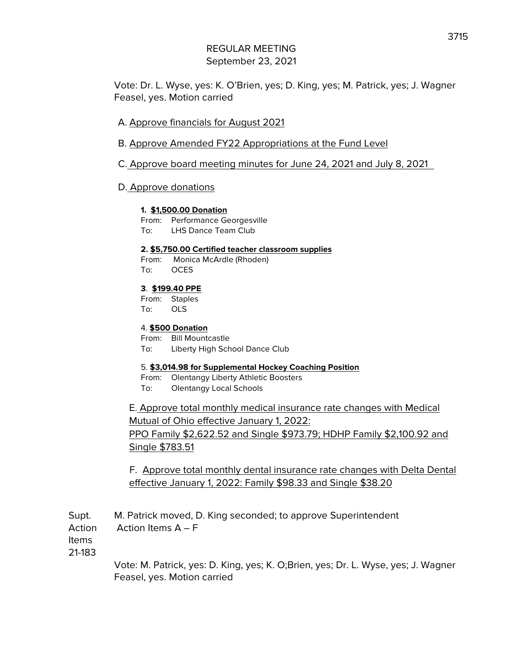Vote: Dr. L. Wyse, yes: K. O'Brien, yes; D. King, yes; M. Patrick, yes; J. Wagner Feasel, yes. Motion carried

- A. Approve financials for August 2021
- B. Approve Amended FY22 Appropriations at the Fund Level
- C. Approve board meeting minutes for June 24, 2021 and July 8, 2021

### D. Approve donations

#### **1. \$1,500.00 Donation**

- From: Performance Georgesville
- To: LHS Dance Team Club

#### **2. \$5,750.00 Certified teacher classroom supplies**

From: Monica McArdle (Rhoden) To: OCES

### **3**. **\$199.40 PPE**

From: Staples To: OLS

#### 4. **\$500 Donation**

From: Bill Mountcastle To: Liberty High School Dance Club

#### 5. **\$3,014.98 for Supplemental Hockey Coaching Position**

- From: Olentangy Liberty Athletic Boosters
- To: Olentangy Local Schools

E. Approve total monthly medical insurance rate changes with Medical Mutual of Ohio effective January 1, 2022: PPO Family \$2,622.52 and Single \$973.79; HDHP Family \$2,100.92 and Single \$783.51

F. Approve total monthly dental insurance rate changes with Delta Dental effective January 1, 2022: Family \$98.33 and Single \$38.20

Supt. M. Patrick moved, D. King seconded; to approve Superintendent Action Action Items A – F

Items

21-183

Vote: M. Patrick, yes: D. King, yes; K. O;Brien, yes; Dr. L. Wyse, yes; J. Wagner Feasel, yes. Motion carried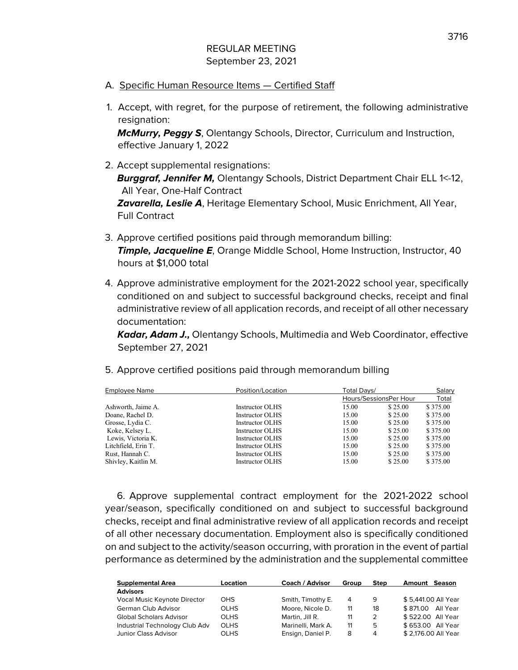- A. Specific Human Resource Items Certified Staff
- 1. Accept, with regret, for the purpose of retirement, the following administrative resignation:

**McMurry, Peggy S**, Olentangy Schools, Director, Curriculum and Instruction, effective January 1, 2022

- 2. Accept supplemental resignations: **Burggraf, Jennifer M,** Olentangy Schools, District Department Chair ELL 1<-12, All Year, One-Half Contract **Zavarella, Leslie A**, Heritage Elementary School, Music Enrichment, All Year, Full Contract
- 3. Approve certified positions paid through memorandum billing: **Timple, Jacqueline E**, Orange Middle School, Home Instruction, Instructor, 40 hours at \$1,000 total
- 4. Approve administrative employment for the 2021-2022 school year, specifically conditioned on and subject to successful background checks, receipt and final administrative review of all application records, and receipt of all other necessary documentation:

**Kadar, Adam J.,** Olentangy Schools, Multimedia and Web Coordinator, effective September 27, 2021

5. Approve certified positions paid through memorandum billing

| <b>Employee Name</b> | Position/Location | Total Davs/            |         | Salary   |
|----------------------|-------------------|------------------------|---------|----------|
|                      |                   | Hours/SessionsPer Hour |         | Total    |
| Ashworth, Jaime A.   | Instructor OLHS   | 15.00                  | \$25.00 | \$375.00 |
| Doane, Rachel D.     | Instructor OLHS   | 15.00                  | \$25.00 | \$375.00 |
| Grosse, Lydia C.     | Instructor OLHS   | 15.00                  | \$25.00 | \$375.00 |
| Koke, Kelsey L.      | Instructor OLHS   | 15.00                  | \$25.00 | \$375.00 |
| Lewis, Victoria K.   | Instructor OLHS   | 15.00                  | \$25.00 | \$375.00 |
| Litchfield, Erin T.  | Instructor OLHS   | 15.00                  | \$25.00 | \$375.00 |
| Rust, Hannah C.      | Instructor OLHS   | 15.00                  | \$25.00 | \$375.00 |
| Shivley, Kaitlin M.  | Instructor OLHS   | 15.00                  | \$25.00 | \$375.00 |

6. Approve supplemental contract employment for the 2021-2022 school year/season, specifically conditioned on and subject to successful background checks, receipt and final administrative review of all application records and receipt of all other necessary documentation. Employment also is specifically conditioned on and subject to the activity/season occurring, with proration in the event of partial performance as determined by the administration and the supplemental committee

| <b>Supplemental Area</b>       | Location    | Coach / Advisor    | Group | <b>Step</b> | Season<br>Amount     |
|--------------------------------|-------------|--------------------|-------|-------------|----------------------|
| <b>Advisors</b>                |             |                    |       |             |                      |
| Vocal Music Keynote Director   | OHS.        | Smith, Timothy E.  | 4     | 9           | \$5.441.00 All Year  |
| German Club Advisor            | <b>OLHS</b> | Moore, Nicole D.   | 11    | 18          | \$871.00<br>All Year |
| <b>Global Scholars Advisor</b> | <b>OLHS</b> | Martin, Jill R.    | 11    | 2           | \$522.00 All Year    |
| Industrial Technology Club Adv | OLHS        | Marinelli, Mark A. | 11    | 5           | \$653.00 All Year    |
| Junior Class Advisor           | OLHS        | Ensign, Daniel P.  | 8     | 4           | \$2.176.00 All Year  |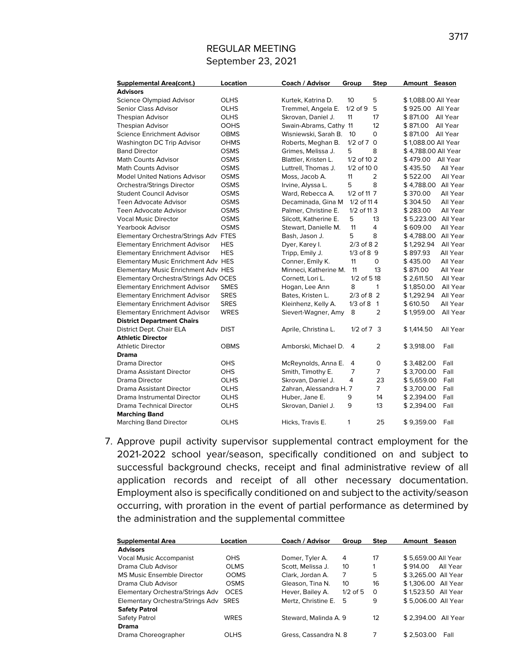| <b>Supplemental Area(cont.)</b>       | Location    | Coach / Advisor         | Group           | <b>Step</b>    | <b>Amount Season</b> |          |
|---------------------------------------|-------------|-------------------------|-----------------|----------------|----------------------|----------|
| <b>Advisors</b>                       |             |                         |                 |                |                      |          |
| Science Olympiad Advisor              | <b>OLHS</b> | Kurtek, Katrina D.      | 10 <sup>2</sup> | 5              | \$1.088.00 All Year  |          |
| Senior Class Advisor                  | <b>OLHS</b> | Tremmel, Angela E.      | $1/2$ of $9$    | 5              | \$925.00 All Year    |          |
| <b>Thespian Advisor</b>               | <b>OLHS</b> | Skrovan, Daniel J.      | 11              | 17             | \$871.00             | All Year |
| <b>Thespian Advisor</b>               | OOHS        | Swain-Abrams, Cathy 11  |                 | 12             | \$871.00             | All Year |
| Science Enrichment Advisor            | <b>OBMS</b> | Wisniewski, Sarah B.    | 10              | 0              | \$871.00             | All Year |
| Washington DC Trip Advisor            | <b>OHMS</b> | Roberts, Meghan B.      | $1/2$ of $7$ 0  |                | \$1,088.00 All Year  |          |
| <b>Band Director</b>                  | <b>OSMS</b> | Grimes, Melissa J.      | 5               | 8              | \$4,788.00 All Year  |          |
| <b>Math Counts Advisor</b>            | OSMS        | Blattler, Kristen L.    | 1/2 of 10 2     |                | \$479.00             | All Year |
| <b>Math Counts Advisor</b>            | OSMS        | Luttrell, Thomas J.     | $1/2$ of 10 0   |                | \$435.50             | All Year |
| <b>Model United Nations Advisor</b>   | <b>OSMS</b> | Moss, Jacob A.          | 11              | 2              | \$522.00             | All Year |
| Orchestra/Strings Director            | <b>OSMS</b> | Irvine, Alyssa L.       | 5               | 8              | \$4,788.00           | All Year |
| <b>Student Council Advisor</b>        | OSMS        | Ward, Rebecca A.        | 1/2 of 11 7     |                | \$370.00             | All Year |
| Teen Advocate Advisor                 | <b>OSMS</b> | Decaminada, Gina M      | 1/2 of 114      |                | \$304.50             | All Year |
| <b>Teen Advocate Advisor</b>          | <b>OSMS</b> | Palmer, Christine E.    | 1/2 of 113      |                | \$283.00             | All Year |
| <b>Vocal Music Director</b>           | <b>OSMS</b> | Silcott, Katherine E.   | 5               | 13             | \$5,223.00           | All Year |
| <b>Yearbook Advisor</b>               | <b>OSMS</b> | Stewart, Danielle M.    | 11              | 4              | \$609.00             | All Year |
| Elementary Orchestra/Strings Adv FTES |             | Bash, Jason J.          | 5               | 8              | \$4,788.00           | All Year |
| <b>Elementary Enrichment Advisor</b>  | <b>HES</b>  | Dyer, Karey I.          | $2/3$ of 82     |                | \$1,292.94           | All Year |
| <b>Elementary Enrichment Advisor</b>  | <b>HES</b>  | Tripp, Emily J.         | $1/3$ of $8$ 9  |                | \$897.93             | All Year |
| Elementary Music Enrichment Adv HES   |             | Conner, Emily K.        | 11              | 0              | \$435.00             | All Year |
| Elementary Music Enrichment Adv HES   |             | Minneci, Katherine M.   | 11              | 13             | \$871.00             | All Year |
| Elementary Orchestra/Strings Adv OCES |             | Cornett, Lori L.        | 1/2 of 518      |                | \$2,611.50           | All Year |
| <b>Elementary Enrichment Advisor</b>  | <b>SMES</b> | Hogan, Lee Ann          | 8               | $\mathbf{1}$   | \$1,850.00           | All Year |
| <b>Elementary Enrichment Advisor</b>  | <b>SRES</b> | Bates, Kristen L.       | $2/3$ of 8 2    |                | \$1,292.94           | All Year |
| <b>Elementary Enrichment Advisor</b>  | <b>SRES</b> | Kleinhenz, Kelly A.     | $1/3$ of 8 1    |                | \$610.50             | All Year |
| <b>Elementary Enrichment Advisor</b>  | <b>WRES</b> | Sievert-Wagner, Amy     | 8               | $\overline{2}$ | \$1,959.00           | All Year |
| <b>District Department Chairs</b>     |             |                         |                 |                |                      |          |
| District Dept. Chair ELA              | <b>DIST</b> | Aprile, Christina L.    | $1/2$ of $7$ 3  |                | \$1,414.50           | All Year |
| <b>Athletic Director</b>              |             |                         |                 |                |                      |          |
| <b>Athletic Director</b>              | <b>OBMS</b> | Amborski, Michael D.    | 4               | $\overline{2}$ | \$3,918.00           | Fall     |
| <b>Drama</b>                          |             |                         |                 |                |                      |          |
| Drama Director                        | OHS         | McReynolds, Anna E.     | 4               | 0              | \$3,482.00           | Fall     |
| Drama Assistant Director              | <b>OHS</b>  | Smith, Timothy E.       | 7               | 7              | \$3,700.00           | Fall     |
| Drama Director                        | <b>OLHS</b> | Skrovan, Daniel J.      | 4               | 23             | \$5,659.00           | Fall     |
| Drama Assistant Director              | <b>OLHS</b> | Zahran, Alessandra H. 7 |                 | $\overline{7}$ | \$3,700.00           | Fall     |
| Drama Instrumental Director           | <b>OLHS</b> | Huber, Jane E.          | 9               | 14             | \$2,394.00           | Fall     |
| Drama Technical Director              | <b>OLHS</b> | Skrovan, Daniel J.      | 9               | 13             | \$2,394.00           | Fall     |
| <b>Marching Band</b>                  |             |                         |                 |                |                      |          |
| <b>Marching Band Director</b>         | <b>OLHS</b> | Hicks, Travis E.        | 1               | 25             | \$9,359.00           | Fall     |

7. Approve pupil activity supervisor supplemental contract employment for the 2021-2022 school year/season, specifically conditioned on and subject to successful background checks, receipt and final administrative review of all application records and receipt of all other necessary documentation. Employment also is specifically conditioned on and subject to the activity/season occurring, with proration in the event of partial performance as determined by the administration and the supplemental committee

| <b>Supplemental Area</b>              | Location    | Coach / Advisor       | Group      | <b>Step</b> | <b>Season</b><br>Amount |
|---------------------------------------|-------------|-----------------------|------------|-------------|-------------------------|
| <b>Advisors</b>                       |             |                       |            |             |                         |
| <b>Vocal Music Accompanist</b>        | <b>OHS</b>  | Domer, Tyler A.       | 4          | 17          | \$5,659.00 All Year     |
| Drama Club Advisor                    | <b>OLMS</b> | Scott, Melissa J.     | 10         |             | \$914.00<br>All Year    |
| MS Music Ensemble Director            | <b>OOMS</b> | Clark. Jordan A.      | 7          | 5           | \$3.265.00 All Year     |
| Drama Club Advisor                    | <b>OSMS</b> | Gleason, Tina N.      | 10         | 16          | \$1,306.00 All Year     |
| Elementary Orchestra/Strings Adv      | <b>OCES</b> | Hever, Bailey A.      | $1/2$ of 5 | 0           | \$1.523.50 All Year     |
| Elementary Orchestra/Strings Adv SRES |             | Mertz, Christine E.   | 5          | 9           | \$5,006.00 All Year     |
| <b>Safety Patrol</b>                  |             |                       |            |             |                         |
| Safety Patrol                         | <b>WRES</b> | Steward, Malinda A. 9 |            | 12          | \$2.394.00 All Year     |
| <b>Drama</b>                          |             |                       |            |             |                         |
| Drama Choreographer                   | <b>OLHS</b> | Gress, Cassandra N. 8 |            |             | \$2.503.00<br>Fall      |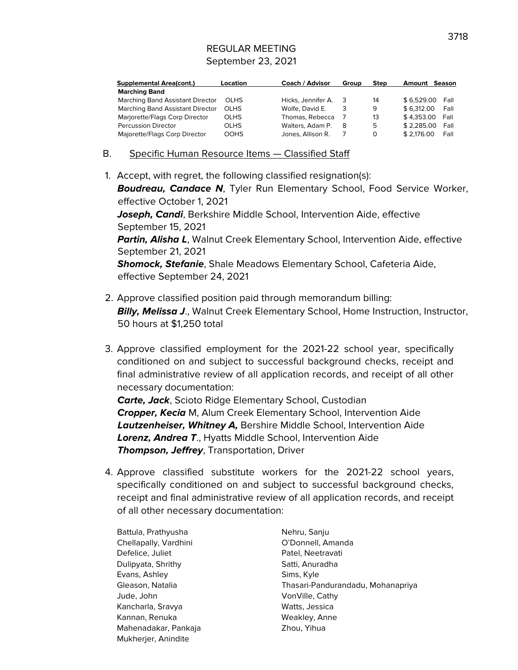| <b>Supplemental Area(cont.)</b>  | Location    | Coach / Advisor    | Group | <b>Step</b> | <b>Amount Season</b> |      |
|----------------------------------|-------------|--------------------|-------|-------------|----------------------|------|
| <b>Marching Band</b>             |             |                    |       |             |                      |      |
| Marching Band Assistant Director | <b>OLHS</b> | Hicks. Jennifer A. | - 3   | 14          | \$6.529.00           | Fall |
| Marching Band Assistant Director | <b>OLHS</b> | Wolfe, David E.    | 3     | 9           | \$6.312.00           | Fall |
| Marjorette/Flags Corp Director   | <b>OLHS</b> | Thomas, Rebecca    |       | 13          | \$4.353.00           | Fall |
| <b>Percussion Director</b>       | <b>OLHS</b> | Walters, Adam P.   | 8     | 5           | \$2.285.00           | Fall |
| Majorette/Flags Corp Director    | <b>OOHS</b> | Jones, Allison R.  |       | O           | \$2.176.00           | Fall |

### B. Specific Human Resource Items — Classified Staff

1. Accept, with regret, the following classified resignation(s):

**Boudreau, Candace N**, Tyler Run Elementary School, Food Service Worker, effective October 1, 2021 **Joseph, Candi**, Berkshire Middle School, Intervention Aide, effective September 15, 2021

**Partin, Alisha L**, Walnut Creek Elementary School, Intervention Aide, effective September 21, 2021

**Shomock, Stefanie**, Shale Meadows Elementary School, Cafeteria Aide, effective September 24, 2021

- 2. Approve classified position paid through memorandum billing: **Billy, Melissa J., Walnut Creek Elementary School, Home Instruction, Instructor,** 50 hours at \$1,250 total
- 3. Approve classified employment for the 2021-22 school year, specifically conditioned on and subject to successful background checks, receipt and final administrative review of all application records, and receipt of all other necessary documentation:

**Carte, Jack**, Scioto Ridge Elementary School, Custodian **Cropper, Kecia** M, Alum Creek Elementary School, Intervention Aide **Lautzenheiser, Whitney A,** Bershire Middle School, Intervention Aide **Lorenz, Andrea T**., Hyatts Middle School, Intervention Aide **Thompson, Jeffrey**, Transportation, Driver

4. Approve classified substitute workers for the 2021-22 school years, specifically conditioned on and subject to successful background checks, receipt and final administrative review of all application records, and receipt of all other necessary documentation:

Battula, Prathyusha Nehru, Sanju Chellapally, Vardhini **Chellapally, Vardhini** O'Donnell, Amanda Defelice, Juliet **Patel, Neetravati** Dulipyata, Shrithy Satti, Anuradha Evans, Ashley Sims, Kyle Jude, John VonVille, Cathy Kancharla, Sravya Watts, Jessica Kannan, Renuka Weakley, Anne Mahenadakar, Pankaja Zhou, Yihua Mukherjer, Anindite

Gleason, Natalia Thasari-Pandurandadu, Mohanapriya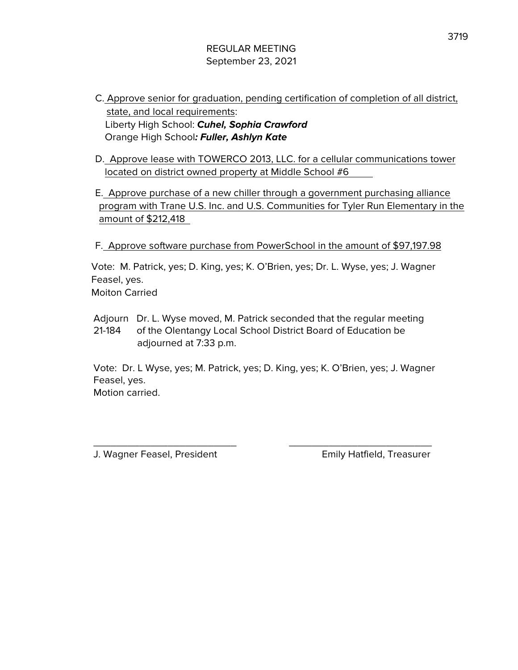- C. Approve senior for graduation, pending certification of completion of all district, state, and local requirements: Liberty High School: **Cuhel, Sophia Crawford** Orange High School**: Fuller, Ashlyn Kate**
- D. Approve lease with TOWERCO 2013, LLC. for a cellular communications tower located on district owned property at Middle School #6
- E. Approve purchase of a new chiller through a government purchasing alliance program with Trane U.S. Inc. and U.S. Communities for Tyler Run Elementary in the amount of \$212,418

F. Approve software purchase from PowerSchool in the amount of \$97,197.98

Vote: M. Patrick, yes; D. King, yes; K. O'Brien, yes; Dr. L. Wyse, yes; J. Wagner Feasel, yes. Moiton Carried

Adjourn Dr. L. Wyse moved, M. Patrick seconded that the regular meeting 21-184 of the Olentangy Local School District Board of Education be adjourned at 7:33 p.m.

Vote: Dr. L Wyse, yes; M. Patrick, yes; D. King, yes; K. O'Brien, yes; J. Wagner Feasel, yes. Motion carried.

\_\_\_\_\_\_\_\_\_\_\_\_\_\_\_\_\_\_\_\_\_\_\_\_\_ \_\_\_\_\_\_\_\_\_\_\_\_\_\_\_\_\_\_\_\_\_\_\_\_\_

J. Wagner Feasel, President Emily Hatfield, Treasurer